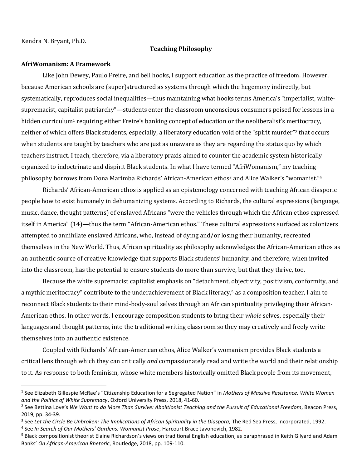Kendra N. Bryant, Ph.D.

## **Teaching Philosophy**

## **AfriWomanism: A Framework**

Like John Dewey, Paulo Freire, and bell hooks, I support education as the practice of freedom. However, because American schools are (super)structured as systems through which the hegemony indirectly, but systematically, reproduces social inequalities—thus maintaining what hooks terms America's "imperialist, whitesupremacist, capitalist patriarchy"—students enter the classroom unconscious consumers poised for lessons in a hidden curriculum<sup>1</sup> requiring either Freire's banking concept of education or the neoliberalist's meritocracy, neither of which offers Black students, especially, a liberatory education void of the "spirit murder"<sup>2</sup> that occurs when students are taught by teachers who are just as unaware as they are regarding the status quo by which teachers instruct. I teach, therefore, via a liberatory praxis aimed to counter the academic system historically organized to indoctrinate and dispirit Black students. In what I have termed "AfriWomanism," my teaching philosophy borrows from Dona Marimba Richards' African-American ethos<sup>3</sup> and Alice Walker's "womanist."<sup>4</sup>

Richards' African-American ethos is applied as an epistemology concerned with teaching African diasporic people how to exist humanely in dehumanizing systems. According to Richards, the cultural expressions (language, music, dance, thought patterns) of enslaved Africans "were the vehicles through which the African ethos expressed itself in America" (14)—thus the term "African-American ethos." These cultural expressions surfaced as colonizers attempted to annihilate enslaved Africans, who, instead of dying and/or losing their humanity, recreated themselves in the New World. Thus, African spirituality as philosophy acknowledges the African-American ethos as an authentic source of creative knowledge that supports Black students' humanity, and therefore, when invited into the classroom, has the potential to ensure students do more than survive, but that they thrive, too.

Because the white supremacist capitalist emphasis on "detachment, objectivity, positivism, conformity, and a mythic meritocracy" contribute to the underachievement of Black literacy, <sup>5</sup> as a composition teacher, I aim to reconnect Black students to their mind-body-soul selves through an African spirituality privileging their African-American ethos. In other words, I encourage composition students to bring their *whole* selves, especially their languages and thought patterns, into the traditional writing classroom so they may creatively and freely write themselves into an authentic existence.

Coupled with Richards' African-American ethos, Alice Walker's womanism provides Black students a critical lens through which they can critically *and* compassionately read and write the world and their relationship to it. As response to both feminism, whose white members historically omitted Black people from its movement,

<sup>1</sup> See Elizabeth Gillespie McRae's "Citizenship Education for a Segregated Nation" in *Mothers of Massive Resistance: White Women and the Politics of White Supremacy*, Oxford University Press, 2018, 41-60.

<sup>2</sup> See Bettina Love's *We Want to do More Than Survive: Abolitionist Teaching and the Pursuit of Educational Freedom*, Beacon Press, 2019, pp. 34-39.

<sup>&</sup>lt;sup>3</sup> See Let the Circle Be Unbroken: The Implications of African Spirituality in the Diaspora, The Red Sea Press, Incorporated, 1992.

<sup>4</sup> See *In Search of Our Mothers' Gardens: Womanist Prose*, Harcourt Brace Javonovich, 1982.

<sup>&</sup>lt;sup>5</sup> Black compositionist theorist Elaine Richardson's views on traditional English education, as paraphrased in Keith Gilyard and Adam Banks' *On African-American Rhetoric*, Routledge, 2018, pp. 109-110.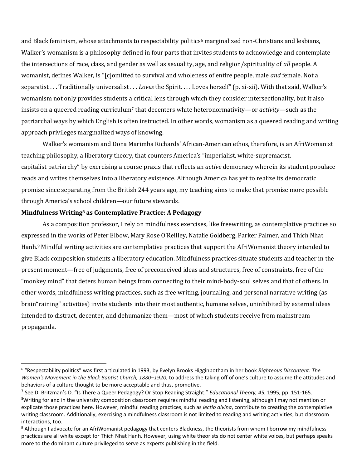and Black feminism, whose attachments to respectability politics<sup>6</sup> marginalized non-Christians and lesbians, Walker's womanism is a philosophy defined in four parts that invites students to acknowledge and contemplate the intersections of race, class, and gender as well as sexuality, age, and religion/spirituality of *all* people. A womanist, defines Walker, is "[c]omitted to survival and wholeness of entire people, male *and* female. Not a separatist . . . Traditionally universalist . . . *Loves* the Spirit. . . . Loves herself" (p. xi-xii). With that said, Walker's womanism not only provides students a critical lens through which they consider intersectionality, but it also insists on a queered reading curriculum<sup>7</sup> that decenters white heteronormativity—or *activity*—such as the patriarchal ways by which English is often instructed. In other words, womanism as a queered reading and writing approach privileges marginalized ways of knowing.

Walker's womanism and Dona Marimba Richards' African-American ethos, therefore, is an AfriWomanist teaching philosophy, a liberatory theory, that counters America's "imperialist, white-supremacist, capitalist patriarchy" by exercising a course praxis that reflects an *active* democracy wherein its student populace reads and writes themselves into a liberatory existence. Although America has yet to realize its democratic promise since separating from the British 244 years ago, my teaching aims to make that promise more possible through America's school children—our future stewards.

## **Mindfulness Writing<sup>8</sup> as Contemplative Practice: A Pedagogy**

As a composition professor, I rely on mindfulness exercises, like freewriting, as contemplative practices so expressed in the works of Peter Elbow, Mary Rose O'Reilley, Natalie Goldberg, Parker Palmer, and Thich Nhat Hanh. <sup>9</sup> Mindful writing activities are contemplative practices that support the AfriWomanist theory intended to give Black composition students a liberatory education. Mindfulness practices situate students and teacher in the present moment—free of judgments, free of preconceived ideas and structures, free of constraints, free of the "monkey mind" that deters human beings from connecting to their mind-body-soul selves and that of others. In other words, mindfulness writing practices, such as free writing, journaling, and personal narrative writing (as brain"raining" activities) invite students into their most authentic, humane selves, uninhibited by external ideas intended to distract, decenter, and dehumanize them—most of which students receive from mainstream propaganda.

<sup>6</sup> "Respectability politics" was first articulated in 1993, by Evelyn Brooks Higginbotham in her book *Righteous Discontent: The Women's Movement in the Black Baptist Church, 1880–1920*, to address the taking off of one's culture to assume the attitudes and behaviors of a culture thought to be more acceptable and thus, promotive.

<sup>7</sup> See D. Britzman's D. "Is There a Queer Pedagogy? Or Stop Reading Straight." *Educational Theory, 45*, 1995, pp. 151-165. <sup>8</sup>Writing for and in the university composition classroom requires mindful reading and listening, although I may not mention or explicate those practices here. However, mindful reading practices, such as *lectio divina*, contribute to creating the contemplative writing classroom. Additionally, exercising a mindfulness classroom is not limited to reading and writing activities, but classroom interactions, too.

<sup>&</sup>lt;sup>9</sup> Although I advocate for an AfriWomanist pedagogy that centers Blackness, the theorists from whom I borrow my mindfulness practices are all white except for Thich Nhat Hanh. However, using white theorists do not center white voices, but perhaps speaks more to the dominant culture privileged to serve as experts publishing in the field.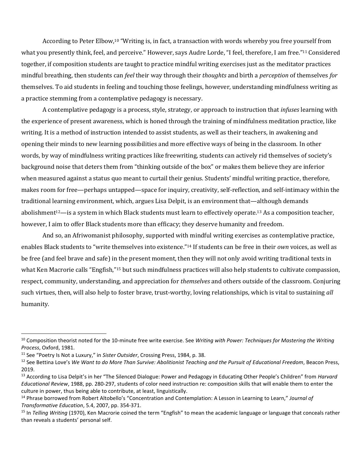According to Peter Elbow,<sup>10</sup> "Writing is, in fact, a transaction with words whereby you free yourself from what you presently think, feel, and perceive." However, says Audre Lorde, "I feel, therefore, I am free." <sup>11</sup> Considered together, if composition students are taught to practice mindful writing exercises just as the meditator practices mindful breathing, then students can *feel* their way through their *thoughts* and birth a *perception* of themselves *for*  themselves. To aid students in feeling and touching those feelings, however, understanding mindfulness writing as a practice stemming from a contemplative pedagogy is necessary.

A contemplative pedagogy is a process, style, strategy, or approach to instruction that *infuses* learning with the experience of present awareness, which is honed through the training of mindfulness meditation practice, like writing. It is a method of instruction intended to assist students, as well as their teachers, in awakening and opening their minds to new learning possibilities and more effective ways of being in the classroom. In other words, by way of mindfulness writing practices like freewriting, students can actively rid themselves of society's background noise that deters them from "thinking outside of the box" or makes them believe they are inferior when measured against a status quo meant to curtail their genius. Students' mindful writing practice, therefore, makes room for free—perhaps untapped—space for inquiry, creativity, self-reflection, and self-intimacy within the traditional learning environment, which, argues Lisa Delpit, is an environment that—although demands abolishment<sup>12</sup>—is a system in which Black students must learn to effectively operate.<sup>13</sup> As a composition teacher, however, I aim to offer Black students more than efficacy; they deserve humanity and freedom.

And so, an Afriwomanist philosophy, supported with mindful writing exercises as contemplative practice, enables Black students to "write themselves into existence." <sup>14</sup> If students can be free in their *own* voices, as well as be free (and feel brave and safe) in the present moment, then they will not only avoid writing traditional texts in what Ken Macrorie calls "Engfish,"<sup>15</sup> but such mindfulness practices will also help students to cultivate compassion, respect, community, understanding, and appreciation for *themselves* and others outside of the classroom. Conjuring such virtues, then, will also help to foster brave, trust-worthy, loving relationships, which is vital to sustaining *all* humanity.

<sup>&</sup>lt;sup>10</sup> Composition theorist noted for the 10-minute free write exercise. See Writing with Power: Techniques for Mastering the Writing *Process*, Oxford, 1981.

<sup>11</sup> See "Poetry Is Not a Luxury," in *Sister Outsider*, Crossing Press, 1984, p. 38.

<sup>12</sup> See Bettina Love's *We Want to do More Than Survive: Abolitionist Teaching and the Pursuit of Educational Freedom*, Beacon Press, 2019.

<sup>13</sup> According to Lisa Delpit's in her "The Silenced Dialogue: Power and Pedagogy in Educating Other People's Children" from *Harvard Educational Review*, 1988, pp. 280-297, students of color need instruction re: composition skills that will enable them to enter the culture in power, thus being able to contribute, at least, linguistically.

<sup>14</sup> Phrase borrowed from Robert Altobello's "Concentration and Contemplation: A Lesson in Learning to Learn," *Journal of Transformative Education*, 5.4, 2007, pp. 354-371.

<sup>&</sup>lt;sup>15</sup> In *Telling Writing* (1970), Ken Macrorie coined the term "Engfish" to mean the academic language or language that conceals rather than reveals a students' personal self.